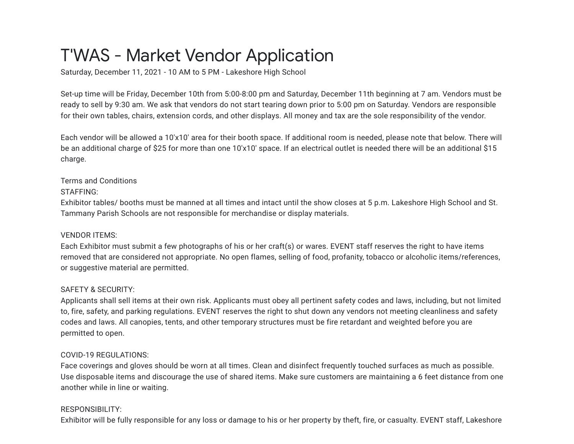# T'WAS - Market Vendor Application

Saturday, December 11, 2021 - 10 AM to 5 PM - Lakeshore High School

Set-up time will be Friday, December 10th from 5:00-8:00 pm and Saturday, December 11th beginning at 7 am. Vendors must be ready to sell by 9:30 am. We ask that vendors do not start tearing down prior to 5:00 pm on Saturday. Vendors are responsible for their own tables, chairs, extension cords, and other displays. All money and tax are the sole responsibility of the vendor.

Each vendor will be allowed a 10'x10' area for their booth space. If additional room is needed, please note that below. There will be an additional charge of \$25 for more than one 10'x10' space. If an electrical outlet is needed there will be an additional \$15 charge.

### Terms and Conditions

STAFFING:

Exhibitor tables/ booths must be manned at all times and intact until the show closes at 5 p.m. Lakeshore High School and St. Tammany Parish Schools are not responsible for merchandise or display materials.

# VENDOR ITEMS:

Each Exhibitor must submit a few photographs of his or her craft(s) or wares. EVENT staff reserves the right to have items removed that are considered not appropriate. No open flames, selling of food, profanity, tobacco or alcoholic items/references, or suggestive material are permitted.

# SAFETY & SECURITY:

Applicants shall sell items at their own risk. Applicants must obey all pertinent safety codes and laws, including, but not limited to, fire, safety, and parking regulations. EVENT reserves the right to shut down any vendors not meeting cleanliness and safety codes and laws. All canopies, tents, and other temporary structures must be fire retardant and weighted before you are permitted to open.

# COVID-19 REGULATIONS:

Face coverings and gloves should be worn at all times. Clean and disinfect frequently touched surfaces as much as possible. Use disposable items and discourage the use of shared items. Make sure customers are maintaining a 6 feet distance from one another while in line or waiting.

# RESPONSIBILITY:

Exhibitor will be fully responsible for any loss or damage to his or her property by theft, fire, or casualty. EVENT staff, Lakeshore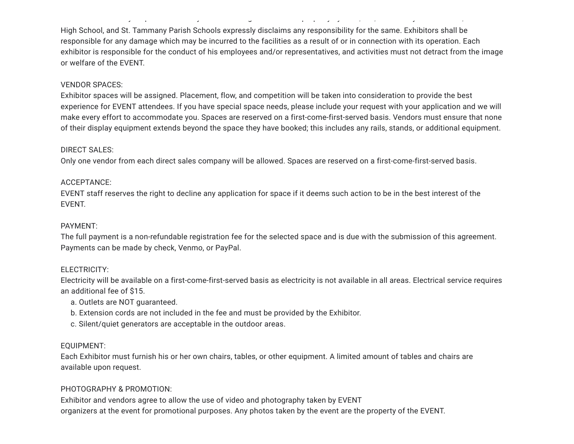High School, and St. Tammany Parish Schools expressly disclaims any responsibility for the same. Exhibitors shall be responsible for any damage which may be incurred to the facilities as a result of or in connection with its operation. Each exhibitor is responsible for the conduct of his employees and/or representatives, and activities must not detract from the image or welfare of the EVENT.

y p y g p p y y , , y ,

#### VENDOR SPACES:

Exhibitor spaces will be assigned. Placement, flow, and competition will be taken into consideration to provide the best experience for EVENT attendees. If you have special space needs, please include your request with your application and we will make every effort to accommodate you. Spaces are reserved on a first-come-first-served basis. Vendors must ensure that none of their display equipment extends beyond the space they have booked; this includes any rails, stands, or additional equipment.

#### DIRECT SALES:

Only one vendor from each direct sales company will be allowed. Spaces are reserved on a first-come-first-served basis.

#### ACCEPTANCE:

EVENT staff reserves the right to decline any application for space if it deems such action to be in the best interest of the EVENT.

#### PAYMENT:

The full payment is a non-refundable registration fee for the selected space and is due with the submission of this agreement. Payments can be made by check, Venmo, or PayPal.

#### ELECTRICITY:

Electricity will be available on a first-come-first-served basis as electricity is not available in all areas. Electrical service requires an additional fee of \$15.

- a. Outlets are NOT guaranteed.
- b. Extension cords are not included in the fee and must be provided by the Exhibitor.
- c. Silent/quiet generators are acceptable in the outdoor areas.

#### EQUIPMENT:

Each Exhibitor must furnish his or her own chairs, tables, or other equipment. A limited amount of tables and chairs are available upon request.

#### PHOTOGRAPHY & PROMOTION:

Exhibitor and vendors agree to allow the use of video and photography taken by EVENT organizers at the event for promotional purposes. Any photos taken by the event are the property of the EVENT.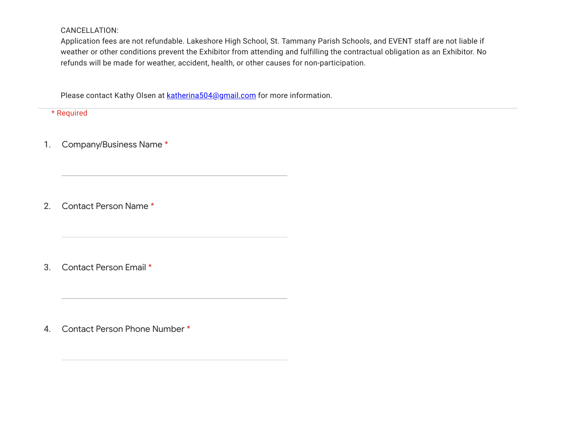CANCELLATION:

Application fees are not refundable. Lakeshore High School, St. Tammany Parish Schools, and EVENT staff are not liable if weather or other conditions prevent the Exhibitor from attending and fulfilling the contractual obligation as an Exhibitor. No refunds will be made for weather, accident, health, or other causes for non-participation.

Please contact Kathy Olsen at **[katherina504@gmail.com](mailto:katherina504@gmail.com)** for more information.

\* Required

1. Company/Business Name \*

2. Contact Person Name \*

3. Contact Person Email \*

4. Contact Person Phone Number \*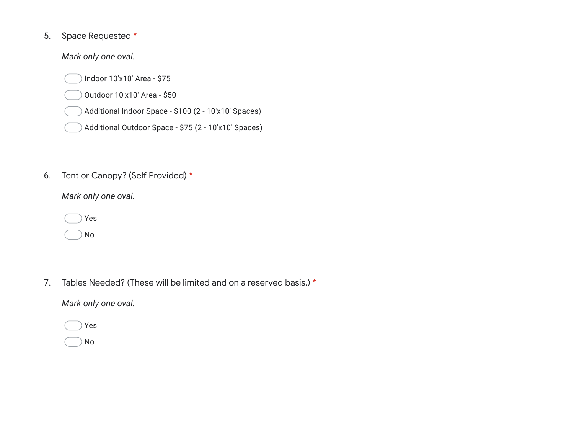#### 5. Space Requested \*

*Mark only one oval.*

Indoor 10'x10' Area - \$75

Outdoor 10'x10' Area - \$50

Additional Indoor Space - \$100 (2 - 10'x10' Spaces)

Additional Outdoor Space - \$75 (2 - 10'x10' Spaces)

#### 6. Tent or Canopy? (Self Provided) \*

*Mark only one oval.*

|  | Yes |
|--|-----|
|  | No  |

7. Tables Needed? (These will be limited and on a reserved basis.) \*

*Mark only one oval.*

|  | Yes |
|--|-----|
|  | N٥  |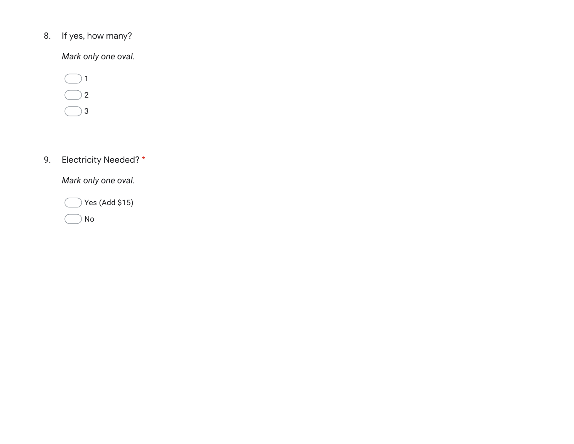#### 8. If yes, how many?

*Mark only one oval.*

 $\bigcirc$  1 2  $\bigcirc$  3

#### 9. Electricity Needed? \*

*Mark only one oval.*

 $\bigcirc$  Yes (Add \$15) No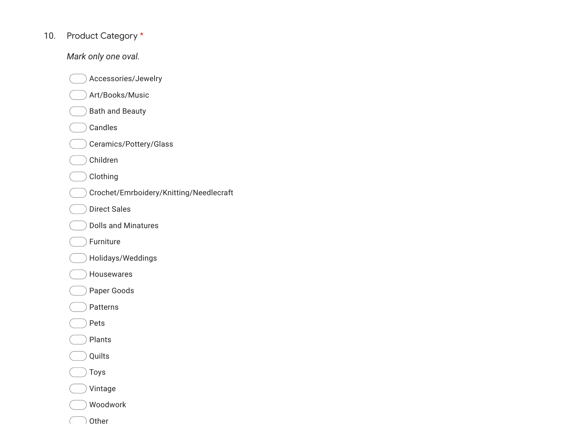#### 10. Product Category \*

*Mark only one oval.*

Accessories/Jewelry

Art/Books/Music

Bath and Beauty

Candles

Ceramics/Pottery/Glass

Children

Clothing

Crochet/Emrboidery/Knitting/Needlecraft

Direct Sales

Dolls and Minatures

Furniture

Holidays/Weddings

Housewares

Paper Goods

Patterns

Pets

Plants

Quilts

Toys

Vintage

Woodwork

Other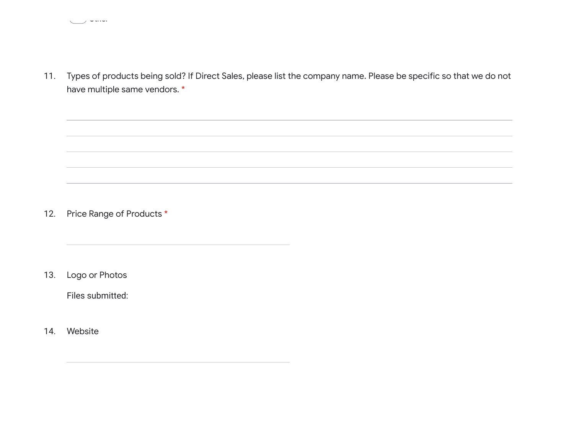Other

11. Types of products being sold? If Direct Sales, please list the company name. Please be specific so that we do not have multiple same vendors. \*

12. Price Range of Products \*

13. Logo or Photos

Files submitted:

14. Website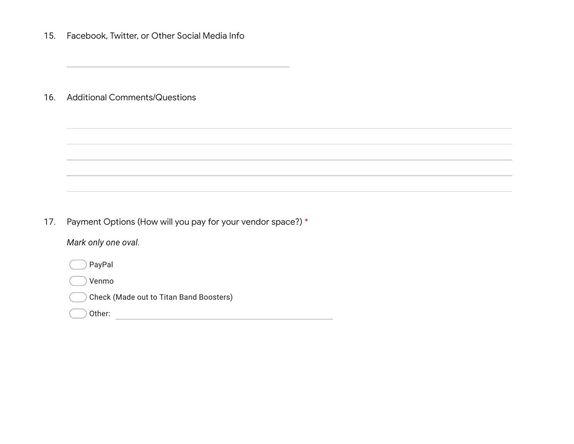15. Facebook, Twitter, or Other Social Media Info

16. Additional Comments/Questions

17. Payment Options (How will you pay for your vendor space?) \*

*Mark only one oval.*

PayPal

Venmo

Check (Made out to Titan Band Boosters)

Other: